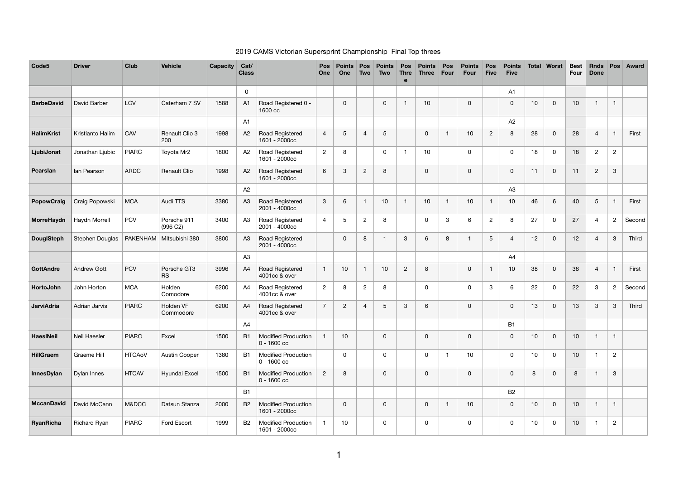## 2019 CAMS Victorian Supersprint Championship Final Top threes

| Code <sub>5</sub> | <b>Driver</b>       | <b>Club</b>   | <b>Vehicle</b>            | <b>Capacity</b> | Cat/<br><b>Class</b> |                                             | Pos<br>One     | <b>Points</b><br>One | <b>Pos</b><br>Two | <b>Points</b><br><b>Two</b> | <b>Thre</b><br>e | Points<br><b>Three</b> | Pos<br><b>Four</b>      | Points<br><b>Four</b> | Pos<br><b>Five</b> | <b>Points</b><br><b>Five</b> | Total | Worst          | <b>Best</b><br>Four | <b>Rnds</b><br><b>Done</b> | <b>Pos</b>     | <b>Award</b> |
|-------------------|---------------------|---------------|---------------------------|-----------------|----------------------|---------------------------------------------|----------------|----------------------|-------------------|-----------------------------|------------------|------------------------|-------------------------|-----------------------|--------------------|------------------------------|-------|----------------|---------------------|----------------------------|----------------|--------------|
|                   |                     |               |                           |                 | $\mathsf{O}$         |                                             |                |                      |                   |                             |                  |                        |                         |                       |                    | A <sub>1</sub>               |       |                |                     |                            |                |              |
| <b>BarbeDavid</b> | David Barber        | <b>LCV</b>    | Caterham 7 SV             | 1588            | A1                   | Road Registered 0 -<br>1600 cc              |                | $\mathsf 0$          |                   | $\mathbf 0$                 |                  | 10 <sub>1</sub>        |                         | $\pmb{0}$             |                    | $\mathbf 0$                  | 10    | $\overline{0}$ | $10$                | $\mathbf{1}$               | $\overline{1}$ |              |
|                   |                     |               |                           |                 | A <sub>1</sub>       |                                             |                |                      |                   |                             |                  |                        |                         |                       |                    | A2                           |       |                |                     |                            |                |              |
| <b>HalimKrist</b> | Kristianto Halim    | CAV           | Renault Clio 3<br>200     | 1998            | A2                   | Road Registered<br>1601 - 2000cc            | $\overline{4}$ | 5                    | $\overline{4}$    | 5                           |                  | $\mathsf{O}$           | -1                      | $10$                  | $\mathbf{2}$       | 8                            | 28    | $\mathbf 0$    | 28                  | $\overline{4}$             | -1             | First        |
| LjubiJonat        | Jonathan Ljubic     | <b>PIARC</b>  | Toyota Mr2                | 1800            | A2                   | Road Registered<br>1601 - 2000cc            | $\mathbf{2}$   | 8                    |                   | $\mathbf 0$                 |                  | 10 <sub>1</sub>        |                         | $\mathbf 0$           |                    | $\mathbf 0$                  | 18    | $\mathbf 0$    | 18                  | $\overline{2}$             | $\overline{2}$ |              |
| Pearslan          | lan Pearson         | <b>ARDC</b>   | Renault Clio              | 1998            | A2                   | Road Registered<br>1601 - 2000cc            | $\,6\,$        | $\mathbf{3}$         | $\sqrt{2}$        | 8                           |                  | $\mathbf 0$            |                         | $\mathbf 0$           |                    | $\mathsf 0$                  | 11    | $\overline{0}$ | 11                  | $\overline{2}$             | $\mathbf{3}$   |              |
|                   |                     |               |                           |                 | A2                   |                                             |                |                      |                   |                             |                  |                        |                         |                       |                    | A3                           |       |                |                     |                            |                |              |
| <b>PopowCraig</b> | Craig Popowski      | <b>MCA</b>    | Audi TTS                  | 3380            | A <sub>3</sub>       | Road Registered<br>2001 - 4000cc            | $\mathbf{3}$   | 6                    | 1                 | 10                          |                  | 10                     | -1                      | 10                    |                    | 10                           | 46    | 6              | 40                  | $\overline{5}$             |                | First        |
| MorreHaydn        | Haydn Morrell       | <b>PCV</b>    | Porsche 911<br>(996 C2)   | 3400            | A3                   | Road Registered<br>2001 - 4000cc            | $\overline{4}$ | 5                    | $\overline{c}$    | 8                           |                  | 0                      | 3                       | 6                     | $\overline{2}$     | 8                            | 27    | $\mathbf 0$    | 27                  | $\overline{4}$             | $\overline{c}$ | Second       |
| <b>DouglSteph</b> | Stephen Douglas     |               | PAKENHAM   Mitsubishi 380 | 3800            | A3                   | Road Registered<br>2001 - 4000cc            |                | $\mathbf 0$          | 8                 |                             | $\mathbf{3}$     | 6                      | 8                       | $\overline{1}$        | 5                  | $\overline{4}$               | 12    | $\mathbf 0$    | 12                  | $\overline{4}$             | $\mathbf{3}$   | Third        |
|                   |                     |               |                           |                 | A3                   |                                             |                |                      |                   |                             |                  |                        |                         |                       |                    | A4                           |       |                |                     |                            |                |              |
| <b>GottAndre</b>  | <b>Andrew Gott</b>  | <b>PCV</b>    | Porsche GT3<br><b>RS</b>  | 3996            | A4                   | Road Registered<br>4001cc & over            | $\mathbf{1}$   | 10                   | $\mathbf{1}$      | 10                          | $\overline{2}$   | 8                      |                         | $\boldsymbol{0}$      |                    | 10                           | 38    | $\overline{0}$ | 38                  | $\overline{4}$             | -1             | First        |
| HortoJohn         | John Horton         | <b>MCA</b>    | Holden<br>Comodore        | 6200            | A4                   | Road Registered<br>4001cc & over            | $\overline{2}$ | 8                    | $\overline{c}$    | 8                           |                  | 0                      |                         | $\mathbf 0$           | 3                  | 6                            | 22    | $\mathbf 0$    | 22                  | 3                          | $\overline{2}$ | Second       |
| <b>JarviAdria</b> | Adrian Jarvis       | <b>PIARC</b>  | Holden VF<br>Commodore    | 6200            | A4                   | Road Registered<br>4001cc & over            | $\overline{7}$ | $\overline{2}$       | $\overline{4}$    | 5                           | $\mathbf{3}$     | 6                      |                         | $\mathbf 0$           |                    | $\mathbf 0$                  | 13    | $\mathsf{O}$   | 13                  | 3                          | 3              | Third        |
|                   |                     |               |                           |                 | A4                   |                                             |                |                      |                   |                             |                  |                        |                         |                       |                    | B <sub>1</sub>               |       |                |                     |                            |                |              |
| <b>HaesINeil</b>  | Neil Haesler        | <b>PIARC</b>  | Excel                     | 1500            | <b>B1</b>            | <b>Modified Production</b><br>$0 - 1600$ cc | $\overline{1}$ | 10                   |                   | $\mathbf 0$                 |                  | 0                      |                         | $\mathbf 0$           |                    | $\mathsf 0$                  | 10    | $\mathbf 0$    | 10                  | $\mathbf 1$                | $\mathbf{1}$   |              |
| HillGraem         | Graeme Hill         | <b>HTCAoV</b> | <b>Austin Cooper</b>      | 1380            | B <sub>1</sub>       | <b>Modified Production</b><br>$0 - 1600$ cc |                | $\mathbf 0$          |                   | $\mathbf 0$                 |                  | 0                      | $\overline{\mathbf{1}}$ | 10                    |                    | $\mathsf{O}$                 | 10    | 0              | 10                  | -1                         | $\overline{2}$ |              |
| <b>InnesDylan</b> | Dylan Innes         | <b>HTCAV</b>  | Hyundai Excel             | 1500            | <b>B1</b>            | <b>Modified Production</b><br>$0 - 1600$ cc | $\sqrt{2}$     | 8                    |                   | $\mathbf 0$                 |                  | $\mathbf 0$            |                         | $\boldsymbol{0}$      |                    | $\mathbf 0$                  | 8     | $\mathbf 0$    | 8                   | $\mathbf{1}$               | $\mathbf{3}$   |              |
|                   |                     |               |                           |                 | <b>B1</b>            |                                             |                |                      |                   |                             |                  |                        |                         |                       |                    | <b>B2</b>                    |       |                |                     |                            |                |              |
| <b>MccanDavid</b> | David McCann        | M&DCC         | Datsun Stanza             | 2000            | <b>B2</b>            | <b>Modified Production</b><br>1601 - 2000cc |                | $\mathbf 0$          |                   | $\overline{0}$              |                  | 0                      | $\overline{\mathbf{1}}$ | 10                    |                    | $\mathbf 0$                  | 10    | $\overline{0}$ | 10                  | $\mathbf{1}$               | $\mathbf{1}$   |              |
| <b>RyanRicha</b>  | <b>Richard Ryan</b> | <b>PIARC</b>  | Ford Escort               | 1999            | <b>B2</b>            | <b>Modified Production</b><br>1601 - 2000cc | -1             | 10                   |                   | 0                           |                  | 0                      |                         | $\mathbf 0$           |                    | $\mathbf 0$                  | 10    | $\mathbf 0$    | 10                  | $\mathbf 1$                | $\overline{2}$ |              |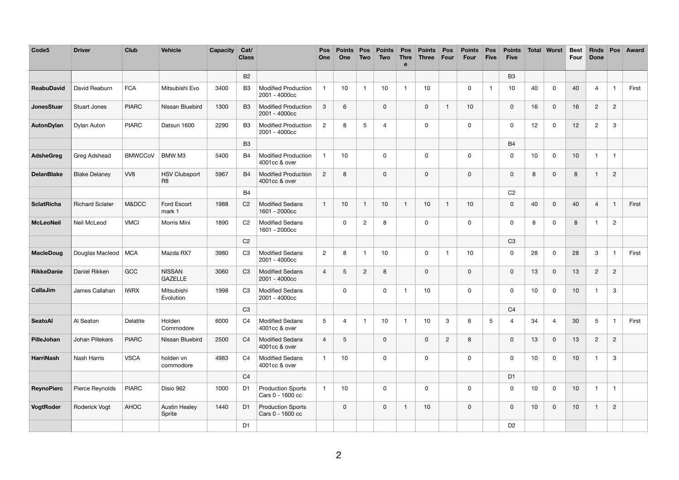| Code <sub>5</sub> | <b>Driver</b>          | <b>Club</b>    | <b>Vehicle</b>                         | <b>Capacity</b> | Cat/<br><b>Class</b> |                                              | Pos<br>One      | <b>Points</b><br>One | <b>Pos</b><br><b>Two</b> | <b>Points</b><br><b>Two</b> | <b>Pos</b><br><b>Thre</b><br>$\mathbf e$ | <b>Points</b><br><b>Three</b> | <b>Pos</b><br>Four | <b>Points</b><br><b>Four</b> | Pos<br><b>Five</b> | <b>Points</b><br><b>Five</b> | Total | Worst          | <b>Best</b><br>Four | <b>Rnds</b><br><b>Done</b> | <b>Pos</b>     | <b>Award</b> |
|-------------------|------------------------|----------------|----------------------------------------|-----------------|----------------------|----------------------------------------------|-----------------|----------------------|--------------------------|-----------------------------|------------------------------------------|-------------------------------|--------------------|------------------------------|--------------------|------------------------------|-------|----------------|---------------------|----------------------------|----------------|--------------|
|                   |                        |                |                                        |                 | <b>B2</b>            |                                              |                 |                      |                          |                             |                                          |                               |                    |                              |                    | B <sub>3</sub>               |       |                |                     |                            |                |              |
| <b>ReabuDavid</b> | David Reaburn          | <b>FCA</b>     | Mitsubishi Evo                         | 3400            | B <sub>3</sub>       | <b>Modified Production</b><br>2001 - 4000cc  |                 | 10                   | -1                       | 10                          | -1                                       | 10 <sub>1</sub>               |                    | 0                            |                    | 10                           | 40    | 0              | 40                  | 4                          | -1             | First        |
| JonesStuar        | <b>Stuart Jones</b>    | <b>PIARC</b>   | Nissan Bluebird                        | 1300            | B <sub>3</sub>       | <b>Modified Production</b><br>2001 - 4000cc  | 3               | 6                    |                          | 0                           |                                          | $\mathbf 0$                   | -1                 | 10                           |                    | $\mathbf 0$                  | 16    | $\mathbf 0$    | 16                  | $\overline{c}$             | $\overline{c}$ |              |
| AutonDylan        | Dylan Auton            | <b>PIARC</b>   | Datsun 1600                            | 2290            | B <sub>3</sub>       | <b>Modified Production</b><br>2001 - 4000cc  | $\overline{c}$  | 8                    | 5                        | 4                           |                                          | $\mathbf{0}$                  |                    | 0                            |                    | 0                            | 12    | $\mathbf 0$    | 12                  | $\overline{2}$             | 3              |              |
|                   |                        |                |                                        |                 | <b>B3</b>            |                                              |                 |                      |                          |                             |                                          |                               |                    |                              |                    | <b>B4</b>                    |       |                |                     |                            |                |              |
| <b>AdsheGreg</b>  | Greg Adshead           | <b>BMWCCoV</b> | BMW M3                                 | 5400            | <b>B4</b>            | <b>Modified Production</b><br>4001cc & over  |                 | 10                   |                          | 0                           |                                          | 0                             |                    | 0                            |                    | $\pmb{0}$                    | 10    | $\mathbf 0$    | 10                  | -1                         | $\overline{1}$ |              |
| <b>DelanBlake</b> | <b>Blake Delaney</b>   | VV8            | <b>HSV Clubsport</b><br>R <sub>8</sub> | 5967            | <b>B4</b>            | <b>Modified Production</b><br>4001cc & over  | $\overline{2}$  | 8                    |                          | $\mathbf 0$                 |                                          | $\mathbf 0$                   |                    | $\mathbf 0$                  |                    | $\mathbf 0$                  | 8     | 0              | 8                   |                            | $\overline{2}$ |              |
|                   |                        |                |                                        |                 | <b>B4</b>            |                                              |                 |                      |                          |                             |                                          |                               |                    |                              |                    | C <sub>2</sub>               |       |                |                     |                            |                |              |
| <b>SclatRicha</b> | <b>Richard Sclater</b> | M&DCC          | Ford Escort<br>mark 1                  | 1988            | C <sub>2</sub>       | <b>Modified Sedans</b><br>1601 - 2000cc      |                 | 10                   | $\mathbf{1}$             | 10                          |                                          | 10 <sup>1</sup>               | -1                 | 10                           |                    | $\pmb{0}$                    | 40    | $\mathbf 0$    | 40                  | $\overline{4}$             |                | First        |
| <b>McLeoNeil</b>  | Neil McLeod            | <b>VMCI</b>    | Morris Mini                            | 1890            | C <sub>2</sub>       | <b>Modified Sedans</b><br>1601 - 2000cc      |                 | $\mathbf 0$          | $\overline{2}$           | 8                           |                                          | $\mathbf{0}$                  |                    | 0                            |                    | 0                            | 8     | $\mathbf 0$    | 8                   | 1                          | $\overline{2}$ |              |
|                   |                        |                |                                        |                 | C <sub>2</sub>       |                                              |                 |                      |                          |                             |                                          |                               |                    |                              |                    | C <sub>3</sub>               |       |                |                     |                            |                |              |
| <b>MacleDoug</b>  | Douglas Macleod        | MCA            | Mazda RX7                              | 3980            | C <sub>3</sub>       | <b>Modified Sedans</b><br>2001 - 4000cc      | $\overline{2}$  | $\bf 8$              | -1                       | 10                          |                                          | 0                             | -1                 | 10                           |                    | $\mathbf 0$                  | 28    | $\mathbf 0$    | 28                  | $\mathbf{3}$               | - 1            | First        |
| <b>RikkeDanie</b> | Daniel Rikken          | GCC            | <b>NISSAN</b><br><b>GAZELLE</b>        | 3060            | C <sub>3</sub>       | <b>Modified Sedans</b><br>2001 - 4000cc      | $\overline{4}$  | $\overline{5}$       | $\overline{2}$           | 8                           |                                          | $\mathbf 0$                   |                    | 0                            |                    | $\mathbf 0$                  | 13    | 0              | 13                  | $\overline{2}$             | $\overline{c}$ |              |
| CallaJim          | James Callahan         | <b>IWRX</b>    | Mitsubishi<br>Evolution                | 1998            | C <sub>3</sub>       | <b>Modified Sedans</b><br>2001 - 4000cc      |                 | $\mathbf 0$          |                          | 0                           | -1                                       | 10                            |                    | 0                            |                    | $\mathbf 0$                  | 10    | $\mathbf 0$    | 10                  | - 1                        | 3              |              |
|                   |                        |                |                                        |                 | C <sub>3</sub>       |                                              |                 |                      |                          |                             |                                          |                               |                    |                              |                    | C <sub>4</sub>               |       |                |                     |                            |                |              |
| <b>SeatoAl</b>    | Al Seaton              | Delatite       | Holden<br>Commodore                    | 6000            | C <sub>4</sub>       | <b>Modified Sedans</b><br>4001cc & over      | $5\phantom{.0}$ | $\overline{4}$       | -1                       | 10                          |                                          | 10 <sub>1</sub>               | $\mathbf{3}$       | 6                            | $\sqrt{5}$         | $\overline{4}$               | 34    | $\overline{4}$ | 30                  | $\overline{5}$             |                | First        |
| PilleJohan        | Johan Pillekers        | <b>PIARC</b>   | Nissan Bluebird                        | 2500            | C <sub>4</sub>       | <b>Modified Sedans</b><br>4001cc & over      | $\overline{4}$  | $5\phantom{.0}$      |                          | $\mathbf 0$                 |                                          | $\mathbf 0$                   | $\overline{c}$     | 8                            |                    | $\boldsymbol{0}$             | 13    | $\mathbf 0$    | 13                  | $\overline{2}$             | $\overline{2}$ |              |
| <b>HarriNash</b>  | Nash Harris            | <b>VSCA</b>    | holden vn<br>commodore                 | 4983            | C <sub>4</sub>       | <b>Modified Sedans</b><br>4001cc & over      |                 | 10                   |                          | $\mathbf 0$                 |                                          | $\mathbf 0$                   |                    | $\mathbf 0$                  |                    | $\boldsymbol{0}$             | 10    | $\mathbf 0$    | 10                  | -1                         | $\mathbf{3}$   |              |
|                   |                        |                |                                        |                 | C <sub>4</sub>       |                                              |                 |                      |                          |                             |                                          |                               |                    |                              |                    | D <sub>1</sub>               |       |                |                     |                            |                |              |
| <b>ReynoPierc</b> | Pierce Reynolds        | <b>PIARC</b>   | Disio 962                              | 1000            | D <sub>1</sub>       | <b>Production Sports</b><br>Cars 0 - 1600 cc |                 | 10                   |                          | $\mathbf 0$                 |                                          | $\mathbf 0$                   |                    | 0                            |                    | $\mathbf 0$                  | 10    | $\overline{0}$ | 10                  | $\overline{\mathbf{1}}$    | $\overline{1}$ |              |
| VogtRoder         | Roderick Vogt          | AHOC           | <b>Austin Healey</b><br>Sprite         | 1440            | D <sub>1</sub>       | <b>Production Sports</b><br>Cars 0 - 1600 cc |                 | $\mathsf 0$          |                          | $\mathbf 0$                 | -1                                       | 10 <sup>1</sup>               |                    | $\mathsf{O}$                 |                    | $\mathsf{O}\xspace$          | 10    | $\mathbf 0$    | 10                  | -1                         | $\overline{2}$ |              |
|                   |                        |                |                                        |                 | D <sub>1</sub>       |                                              |                 |                      |                          |                             |                                          |                               |                    |                              |                    | D <sub>2</sub>               |       |                |                     |                            |                |              |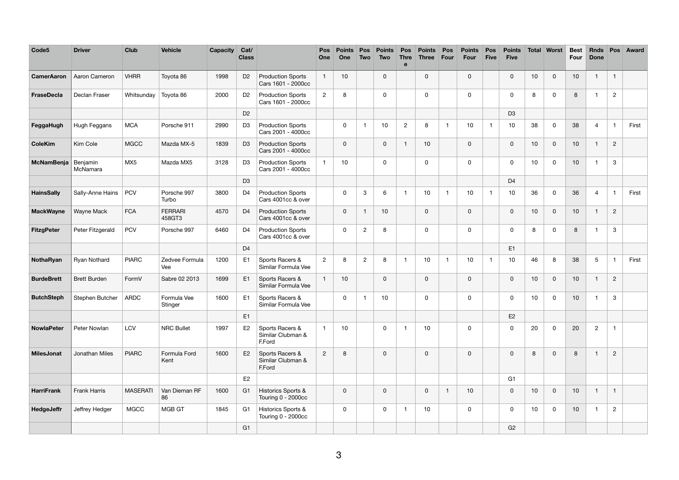| Code <sub>5</sub> | <b>Driver</b>        | <b>Club</b>     | <b>Vehicle</b>           | <b>Capacity</b> | Cat/<br><b>Class</b> |                                                | Pos<br>One     | <b>Points</b><br>One | <b>Pos</b><br>Two | <b>Points</b><br><b>Two</b> | Pos<br><b>Thre</b><br>$\mathbf e$ | <b>Points</b><br><b>Three</b> | <b>Pos</b><br>Four | <b>Points</b><br>Four | Pos<br><b>Five</b> | <b>Points</b><br><b>Five</b> | <b>Total</b> | <b>Worst</b> | <b>Best</b><br><b>Four</b> | <b>Rnds</b><br><b>Done</b> | Pos            | <b>Award</b> |
|-------------------|----------------------|-----------------|--------------------------|-----------------|----------------------|------------------------------------------------|----------------|----------------------|-------------------|-----------------------------|-----------------------------------|-------------------------------|--------------------|-----------------------|--------------------|------------------------------|--------------|--------------|----------------------------|----------------------------|----------------|--------------|
| <b>CamerAaron</b> | Aaron Cameron        | <b>VHRR</b>     | Toyota 86                | 1998            | D <sub>2</sub>       | <b>Production Sports</b><br>Cars 1601 - 2000cc |                | 10                   |                   | 0                           |                                   | $\mathbf 0$                   |                    | 0                     |                    | $\mathbf 0$                  | 10           | $\mathbf 0$  | 10                         |                            | -1             |              |
| <b>FraseDecla</b> | Declan Fraser        | Whitsunday      | Toyota 86                | 2000            | D <sub>2</sub>       | <b>Production Sports</b><br>Cars 1601 - 2000cc | $\overline{2}$ | 8                    |                   | 0                           |                                   | 0                             |                    | 0                     |                    | $\mathbf 0$                  | 8            | 0            | 8                          | -1                         | $\overline{2}$ |              |
|                   |                      |                 |                          |                 | D <sub>2</sub>       |                                                |                |                      |                   |                             |                                   |                               |                    |                       |                    | D <sub>3</sub>               |              |              |                            |                            |                |              |
| FeggaHugh         | Hugh Feggans         | <b>MCA</b>      | Porsche 911              | 2990            | D <sub>3</sub>       | <b>Production Sports</b><br>Cars 2001 - 4000cc |                | 0                    |                   | 10                          | $\overline{c}$                    | 8                             | -1                 | 10                    |                    | 10                           | 38           | 0            | 38                         | 4                          |                | First        |
| <b>ColeKim</b>    | Kim Cole             | <b>MGCC</b>     | Mazda MX-5               | 1839            | D <sub>3</sub>       | <b>Production Sports</b><br>Cars 2001 - 4000cc |                | $\mathbf 0$          |                   | 0                           | 1                                 | 10                            |                    | $\mathbf 0$           |                    | $\mathsf 0$                  | 10           | $\mathbf 0$  | 10                         | -1                         | $\sqrt{2}$     |              |
| <b>McNamBenja</b> | Benjamin<br>McNamara | MX <sub>5</sub> | Mazda MX5                | 3128            | D <sub>3</sub>       | <b>Production Sports</b><br>Cars 2001 - 4000cc |                | 10                   |                   | 0                           |                                   | 0                             |                    | $\mathbf 0$           |                    | 0                            | 10           | $\mathbf 0$  | 10                         | - 1                        | $\sqrt{3}$     |              |
|                   |                      |                 |                          |                 | D <sub>3</sub>       |                                                |                |                      |                   |                             |                                   |                               |                    |                       |                    | D <sub>4</sub>               |              |              |                            |                            |                |              |
| <b>HainsSally</b> | Sally-Anne Hains     | <b>PCV</b>      | Porsche 997<br>Turbo     | 3800            | D <sub>4</sub>       | <b>Production Sports</b><br>Cars 4001cc & over |                | 0                    | 3                 | 6                           | -1                                | 10                            | $\overline{1}$     | 10                    |                    | 10                           | 36           | $\mathbf 0$  | 36                         | $\overline{4}$             | -1             | First        |
| <b>MackWayne</b>  | Wayne Mack           | <b>FCA</b>      | <b>FERRARI</b><br>458GT3 | 4570            | D <sub>4</sub>       | <b>Production Sports</b><br>Cars 4001cc & over |                | $\mathbf 0$          | -1                | 10                          |                                   | $\mathbf 0$                   |                    | $\mathbf 0$           |                    | $\pmb{0}$                    | 10           | $\mathbf 0$  | 10                         | -1                         | $\sqrt{2}$     |              |
| <b>FitzgPeter</b> | Peter Fitzgerald     | <b>PCV</b>      | Porsche 997              | 6460            | D <sub>4</sub>       | <b>Production Sports</b><br>Cars 4001cc & over |                | $\boldsymbol{0}$     | $\overline{c}$    | 8                           |                                   | 0                             |                    | 0                     |                    | $\mathbf 0$                  | 8            | 0            | 8                          |                            | $\mathbf{3}$   |              |
|                   |                      |                 |                          |                 | D <sub>4</sub>       |                                                |                |                      |                   |                             |                                   |                               |                    |                       |                    | E1                           |              |              |                            |                            |                |              |
| NothaRyan         | Ryan Nothard         | <b>PIARC</b>    | Zedvee Formula<br>Vee    | 1200            | E1                   | Sports Racers &<br>Similar Formula Vee         | $\overline{2}$ | 8                    | $\overline{c}$    | 8                           | - 1                               | 10                            | -1                 | 10                    |                    | 10                           | 46           | 8            | 38                         | 5                          | - 1            | First        |
| <b>BurdeBrett</b> | <b>Brett Burden</b>  | FormV           | Sabre 02 2013            | 1699            | E <sub>1</sub>       | Sports Racers &<br>Similar Formula Vee         |                | 10                   |                   | 0                           |                                   | $\mathbf 0$                   |                    | $\mathbf 0$           |                    | $\mathbf 0$                  | 10           | $\mathbf 0$  | 10 <sup>1</sup>            |                            | $\overline{2}$ |              |
| <b>ButchSteph</b> | Stephen Butcher      | <b>ARDC</b>     | Formula Vee<br>Stinger   | 1600            | E <sub>1</sub>       | Sports Racers &<br>Similar Formula Vee         |                | $\mathbf 0$          |                   | 10                          |                                   | $\mathbf 0$                   |                    | $\mathbf 0$           |                    | $\mathbf 0$                  | 10           | $\mathbf 0$  | 10                         |                            | $\mathbf{3}$   |              |
|                   |                      |                 |                          |                 | E1                   |                                                |                |                      |                   |                             |                                   |                               |                    |                       |                    | E2                           |              |              |                            |                            |                |              |
| <b>NowlaPeter</b> | Peter Nowlan         | LCV             | <b>NRC Bullet</b>        | 1997            | E2                   | Sports Racers &<br>Similar Clubman &<br>F.Ford |                | 10                   |                   | $\mathbf 0$                 | - 1                               | 10                            |                    | $\mathbf 0$           |                    | $\mathsf 0$                  | 20           | $\mathbf 0$  | 20                         | $\overline{2}$             | -1             |              |
| <b>MilesJonat</b> | Jonathan Miles       | <b>PIARC</b>    | Formula Ford<br>Kent     | 1600            | E2                   | Sports Racers &<br>Similar Clubman &<br>F.Ford | $\overline{2}$ | 8                    |                   | $\mathbf 0$                 |                                   | $\mathbf 0$                   |                    | $\mathbf 0$           |                    | $\mathbf 0$                  | 8            | $\mathbf 0$  | 8                          | $\overline{1}$             | $\overline{2}$ |              |
|                   |                      |                 |                          |                 | E2                   |                                                |                |                      |                   |                             |                                   |                               |                    |                       |                    | G <sub>1</sub>               |              |              |                            |                            |                |              |
| <b>HarriFrank</b> | <b>Frank Harris</b>  | <b>MASERATI</b> | Van Dieman RF<br>86      | 1600            | G <sub>1</sub>       | Historics Sports &<br>Touring 0 - 2000cc       |                | $\mathsf 0$          |                   | $\mathsf{O}$                |                                   | $\mathbf 0$                   | $\mathbf{1}$       | 10                    |                    | $\mathsf{O}\xspace$          | 10           | $\mathsf 0$  | 10                         | -1                         | -1             |              |
| HedgeJeffr        | Jeffrey Hedger       | <b>MGCC</b>     | MGB GT                   | 1845            | G <sub>1</sub>       | Historics Sports &<br>Touring 0 - 2000cc       |                | $\mathbf 0$          |                   | 0                           | $\overline{1}$                    | 10                            |                    | $\mathbf 0$           |                    | $\mathbf 0$                  | 10           | $\mathbf 0$  | 10                         | $\overline{\mathbf{1}}$    | $\overline{2}$ |              |
|                   |                      |                 |                          |                 | G1                   |                                                |                |                      |                   |                             |                                   |                               |                    |                       |                    | G2                           |              |              |                            |                            |                |              |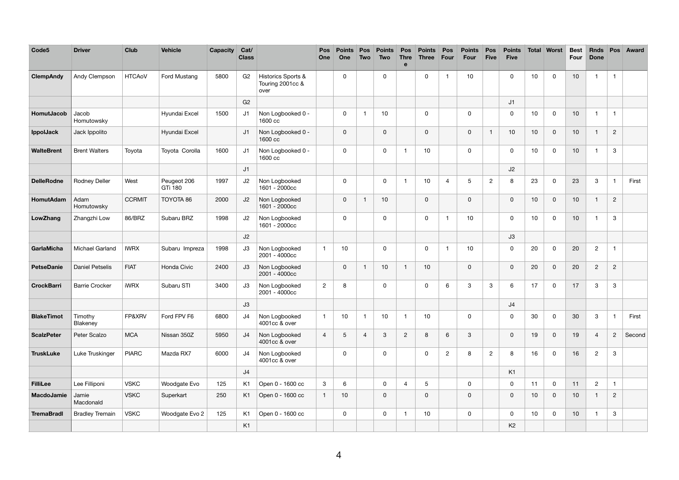| Code <sub>5</sub> | <b>Driver</b>          | <b>Club</b>   | <b>Vehicle</b>         | <b>Capacity</b> | Cat/<br><b>Class</b> |                                                | Pos<br>One     | <b>Points</b><br>One | <b>Pos</b><br>Two | <b>Points</b><br><b>Two</b> | Pos<br><b>Thre</b><br>$\mathbf e$ | <b>Points</b><br><b>Three</b> | <b>Pos</b><br>Four | <b>Points</b><br>Four     | Pos<br><b>Five</b> | <b>Points</b><br><b>Five</b> | <b>Total</b> | <b>Worst</b>   | <b>Best</b><br><b>Four</b> | <b>Rnds</b><br><b>Done</b> | Pos                     | <b>Award</b> |
|-------------------|------------------------|---------------|------------------------|-----------------|----------------------|------------------------------------------------|----------------|----------------------|-------------------|-----------------------------|-----------------------------------|-------------------------------|--------------------|---------------------------|--------------------|------------------------------|--------------|----------------|----------------------------|----------------------------|-------------------------|--------------|
| <b>ClempAndy</b>  | Andy Clempson          | <b>HTCAoV</b> | Ford Mustang           | 5800            | G <sub>2</sub>       | Historics Sports &<br>Touring 2001cc &<br>over |                | $\mathbf 0$          |                   | 0                           |                                   | 0                             | -1                 | 10                        |                    | 0                            | 10           | $\mathbf 0$    | 10                         | -1                         | $\mathbf 1$             |              |
|                   |                        |               |                        |                 | G <sub>2</sub>       |                                                |                |                      |                   |                             |                                   |                               |                    |                           |                    | J1                           |              |                |                            |                            |                         |              |
| HomutJacob        | Jacob<br>Homutowsky    |               | Hyundai Excel          | 1500            | J1                   | Non Logbooked 0 -<br>1600 cc                   |                | $\boldsymbol{0}$     | -1                | 10                          |                                   | $\mathbf 0$                   |                    | $\mathbf 0$               |                    | 0                            | 10           | $\mathbf 0$    | 10                         | -1                         | $\overline{\mathbf{1}}$ |              |
| IppolJack         | Jack Ippolito          |               | Hyundai Excel          |                 | J1                   | Non Logbooked 0 -<br>1600 cc                   |                | $\boldsymbol{0}$     |                   | 0                           |                                   | $\mathbf 0$                   |                    | $\mathbf 0$               |                    | 10                           | 10           | $\mathbf 0$    | 10                         | -1                         | $\overline{2}$          |              |
| <b>WalteBrent</b> | <b>Brent Walters</b>   | Toyota        | Toyota Corolla         | 1600            | J1                   | Non Logbooked 0 -<br>1600 cc                   |                | $\mathbf 0$          |                   | 0                           | -1                                | 10                            |                    | $\mathbf 0$               |                    | $\mathsf 0$                  | 10           | $\mathbf 0$    | 10                         | -1                         | 3                       |              |
|                   |                        |               |                        |                 | J1                   |                                                |                |                      |                   |                             |                                   |                               |                    |                           |                    | J2                           |              |                |                            |                            |                         |              |
| <b>DelleRodne</b> | Rodney Deller          | West          | Peugeot 206<br>GTi 180 | 1997            | J2                   | Non Logbooked<br>1601 - 2000cc                 |                | $\mathbf 0$          |                   | 0                           | $\overline{\phantom{a}}$          | 10                            | 4                  | $\overline{5}$            | $\overline{2}$     | 8                            | 23           | $\mathbf 0$    | 23                         | 3                          |                         | First        |
| HomutAdam         | Adam<br>Homutowsky     | <b>CCRMIT</b> | TOYOTA 86              | 2000            | J2                   | Non Logbooked<br>1601 - 2000cc                 |                | $\boldsymbol{0}$     | -1                | 10                          |                                   | $\mathbf 0$                   |                    | $\mathbf 0$               |                    | $\mathsf 0$                  | 10           | $\mathsf 0$    | 10                         | -1                         | $\overline{2}$          |              |
| LowZhang          | Zhangzhi Low           | 86/BRZ        | Subaru BRZ             | 1998            | J2                   | Non Logbooked<br>1601 - 2000cc                 |                | $\mathsf 0$          |                   | $\mathbf 0$                 |                                   | $\mathbf 0$                   | -1                 | 10                        |                    | 0                            | 10           | $\mathbf 0$    | 10                         | - 1                        | $\mathbf{3}$            |              |
|                   |                        |               |                        |                 | J2                   |                                                |                |                      |                   |                             |                                   |                               |                    |                           |                    | J3                           |              |                |                            |                            |                         |              |
| GarlaMicha        | Michael Garland        | <b>IWRX</b>   | Subaru Impreza         | 1998            | J3                   | Non Logbooked<br>2001 - 4000cc                 |                | 10                   |                   | 0                           |                                   | 0                             | -1                 | 10                        |                    | $\mathbf 0$                  | 20           | $\mathbf 0$    | 20                         | $\overline{2}$             | -1                      |              |
| <b>PetseDanie</b> | <b>Daniel Petselis</b> | <b>FIAT</b>   | Honda Civic            | 2400            | J3                   | Non Logbooked<br>2001 - 4000cc                 |                | $\mathsf 0$          | $\mathbf 1$       | 10                          | -1                                | 10                            |                    | 0                         |                    | $\mathsf{O}\xspace$          | 20           | $\mathbf 0$    | 20                         | $\overline{c}$             | $\sqrt{2}$              |              |
| <b>CrockBarri</b> | <b>Barrie Crocker</b>  | <b>iWRX</b>   | Subaru STI             | 3400            | J3                   | Non Logbooked<br>2001 - 4000cc                 | $\overline{2}$ | $\, 8$               |                   | 0                           |                                   | $\mathbf 0$                   | 6                  | $\ensuremath{\mathsf{3}}$ | $\mathbf{3}$       | 6                            | 17           | $\mathbf 0$    | 17                         | $\mathbf{3}$               | $\mathbf{3}$            |              |
|                   |                        |               |                        |                 | J3                   |                                                |                |                      |                   |                             |                                   |                               |                    |                           |                    | J4                           |              |                |                            |                            |                         |              |
| <b>BlakeTimot</b> | Timothy<br>Blakeney    | FP&XRV        | Ford FPV F6            | 6800            | J4                   | Non Logbooked<br>4001cc & over                 |                | $10$                 | $\mathbf{1}$      | $10$                        | -1                                | 10                            |                    | $\mathbf 0$               |                    | $\mathbf 0$                  | 30           | $\mathbf 0$    | 30                         | $\mathbf{3}$               | -1                      | First        |
| <b>ScalzPeter</b> | Peter Scalzo           | <b>MCA</b>    | Nissan 350Z            | 5950            | J <sub>4</sub>       | Non Logbooked<br>4001cc & over                 | $\overline{4}$ | $\sqrt{5}$           | $\overline{4}$    | $\mathbf{3}$                | $\overline{2}$                    | 8                             | 6                  | $\mathbf{3}$              |                    | $\boldsymbol{0}$             | 19           | $\mathsf 0$    | 19                         | $\overline{4}$             | $2^{\circ}$             | Second       |
| <b>TruskLuke</b>  | Luke Truskinger        | <b>PIARC</b>  | Mazda RX7              | 6000            | J4                   | Non Logbooked<br>4001cc & over                 |                | $\mathsf 0$          |                   | 0                           |                                   | $\mathbf 0$                   | $\mathbf{2}$       | 8                         | $\overline{2}$     | 8                            | 16           | $\mathbf 0$    | 16                         | $\overline{2}$             | $\mathbf{3}$            |              |
|                   |                        |               |                        |                 | J4                   |                                                |                |                      |                   |                             |                                   |                               |                    |                           |                    | K1                           |              |                |                            |                            |                         |              |
| <b>FilliLee</b>   | Lee Filliponi          | <b>VSKC</b>   | Woodgate Evo           | 125             | K <sub>1</sub>       | Open 0 - 1600 cc                               | $\mathbf{3}$   | $6\phantom{.}6$      |                   | 0                           | $\overline{4}$                    | 5                             |                    | $\mathbf 0$               |                    | $\mathsf 0$                  | 11           | $\overline{0}$ | 11                         | $\overline{2}$             | $\mathbf{1}$            |              |
| <b>MacdoJamie</b> | Jamie<br>Macdonald     | <b>VSKC</b>   | Superkart              | 250             | K <sub>1</sub>       | Open 0 - 1600 cc                               |                | 10                   |                   | $\mathbf 0$                 |                                   | $\mathbf 0$                   |                    | $\mathsf{O}$              |                    | $\pmb{0}$                    | 10           | $\mathbf 0$    | 10                         | $\overline{\mathbf{1}}$    | $\overline{2}$          |              |
| <b>TremaBradl</b> | <b>Bradley Tremain</b> | <b>VSKC</b>   | Woodgate Evo 2         | 125             | K1                   | Open 0 - 1600 cc                               |                | $\mathbf 0$          |                   | 0                           | -1                                | 10                            |                    | 0                         |                    | $\mathbf 0$                  | 10           | $\mathbf 0$    | 10                         | $\overline{\mathbf{1}}$    | $\mathbf{3}$            |              |
|                   |                        |               |                        |                 | K <sub>1</sub>       |                                                |                |                      |                   |                             |                                   |                               |                    |                           |                    | K2                           |              |                |                            |                            |                         |              |